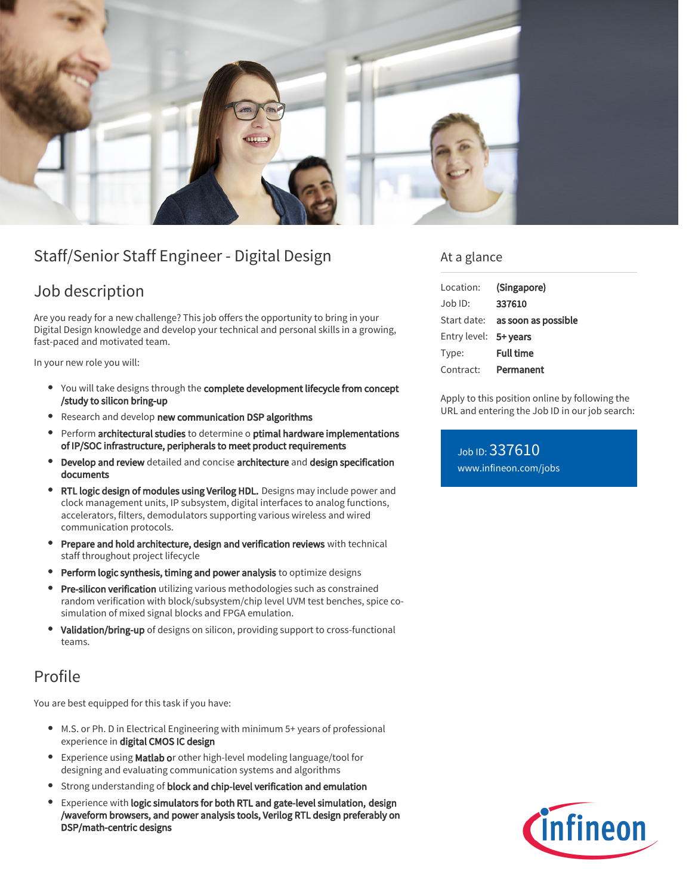

# Staff/Senior Staff Engineer - Digital Design

### Job description

Are you ready for a new challenge? This job offers the opportunity to bring in your Digital Design knowledge and develop your technical and personal skills in a growing, fast-paced and motivated team.

In your new role you will:

- You will take designs through the complete development lifecycle from concept /study to silicon bring-up
- **•** Research and develop new communication DSP algorithms
- Perform architectural studies to determine o ptimal hardware implementations of IP/SOC infrastructure, peripherals to meet product requirements
- Develop and review detailed and concise architecture and design specification documents
- RTL logic design of modules using Verilog HDL. Designs may include power and clock management units, IP subsystem, digital interfaces to analog functions, accelerators, filters, demodulators supporting various wireless and wired communication protocols.
- Prepare and hold architecture, design and verification reviews with technical staff throughout project lifecycle
- Perform logic synthesis, timing and power analysis to optimize designs
- Pre-silicon verification utilizing various methodologies such as constrained random verification with block/subsystem/chip level UVM test benches, spice cosimulation of mixed signal blocks and FPGA emulation.
- $\bullet$ Validation/bring-up of designs on silicon, providing support to cross-functional teams.

## Profile

You are best equipped for this task if you have:

- M.S. or Ph. D in Electrical Engineering with minimum 5+ years of professional experience in digital CMOS IC design
- **Experience using Matlab or other high-level modeling language/tool for** designing and evaluating communication systems and algorithms
- **•** Strong understanding of block and chip-level verification and emulation
- Experience with logic simulators for both RTL and gate-level simulation, design /waveform browsers, and power analysis tools, Verilog RTL design preferably on DSP/math-centric designs

### At a glance

| (Singapore)                            |
|----------------------------------------|
| 337610                                 |
| Start date: <b>as soon as possible</b> |
| Entry level: 5+ years                  |
| <b>Full time</b>                       |
| Permanent                              |
|                                        |

Apply to this position online by following the URL and entering the Job ID in our job search:

Job ID: 337610 [www.infineon.com/jobs](https://www.infineon.com/jobs)